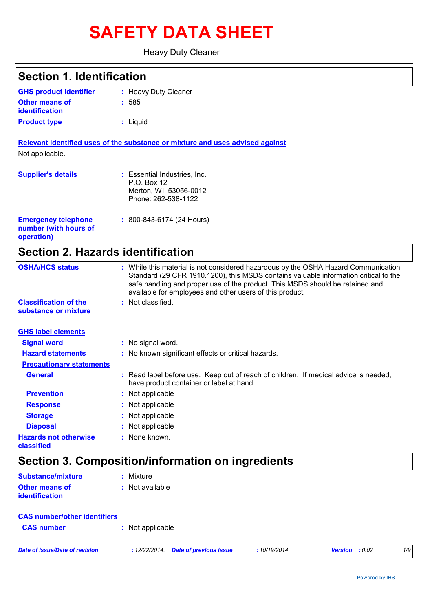# **SAFETY DATA SHEET**

Heavy Duty Cleaner

| <b>Section 1. Identification</b>                                  |                                                                                                                                                                                                                                                                                                                         |
|-------------------------------------------------------------------|-------------------------------------------------------------------------------------------------------------------------------------------------------------------------------------------------------------------------------------------------------------------------------------------------------------------------|
| <b>GHS product identifier</b>                                     | : Heavy Duty Cleaner                                                                                                                                                                                                                                                                                                    |
| <b>Other means of</b><br>identification                           | : 585                                                                                                                                                                                                                                                                                                                   |
| <b>Product type</b>                                               | : Liquid                                                                                                                                                                                                                                                                                                                |
|                                                                   | Relevant identified uses of the substance or mixture and uses advised against                                                                                                                                                                                                                                           |
| Not applicable.                                                   |                                                                                                                                                                                                                                                                                                                         |
| <b>Supplier's details</b>                                         | : Essential Industries, Inc.<br>P.O. Box 12<br>Merton, WI 53056-0012<br>Phone: 262-538-1122                                                                                                                                                                                                                             |
| <b>Emergency telephone</b><br>number (with hours of<br>operation) | $: 800 - 843 - 6174 (24$ Hours)                                                                                                                                                                                                                                                                                         |
| <b>Section 2. Hazards identification</b>                          |                                                                                                                                                                                                                                                                                                                         |
| <b>OSHA/HCS status</b>                                            | : While this material is not considered hazardous by the OSHA Hazard Communication<br>Standard (29 CFR 1910.1200), this MSDS contains valuable information critical to the<br>safe handling and proper use of the product. This MSDS should be retained and<br>available for employees and other users of this product. |
| <b>Classification of the</b><br>substance or mixture              | : Not classified.                                                                                                                                                                                                                                                                                                       |
| <b>GHS label elements</b>                                         |                                                                                                                                                                                                                                                                                                                         |
| <b>Signal word</b>                                                | : No signal word.                                                                                                                                                                                                                                                                                                       |
| <b>Hazard statements</b>                                          | : No known significant effects or critical hazards.                                                                                                                                                                                                                                                                     |
| <b>Precautionary statements</b>                                   |                                                                                                                                                                                                                                                                                                                         |
| <b>General</b>                                                    | : Read label before use. Keep out of reach of children. If medical advice is needed,<br>have product container or label at hand.                                                                                                                                                                                        |
| <b>Prevention</b>                                                 | Not applicable                                                                                                                                                                                                                                                                                                          |
| <b>Response</b>                                                   | Not applicable                                                                                                                                                                                                                                                                                                          |
| <b>Storage</b>                                                    | Not applicable                                                                                                                                                                                                                                                                                                          |
| <b>Disposal</b>                                                   | Not applicable                                                                                                                                                                                                                                                                                                          |
| <b>Hazards not otherwise</b><br>classified                        | : None known.                                                                                                                                                                                                                                                                                                           |
|                                                                   | Section 3. Composition/information on ingredients                                                                                                                                                                                                                                                                       |
| <b>Substance/mixture</b>                                          | Mixture                                                                                                                                                                                                                                                                                                                 |
| <b>Other means of</b><br>identification                           | : Not available                                                                                                                                                                                                                                                                                                         |

| <b>CAS number/other identifiers</b> |                  |
|-------------------------------------|------------------|
| <b>CAS</b> number                   | : Not applicable |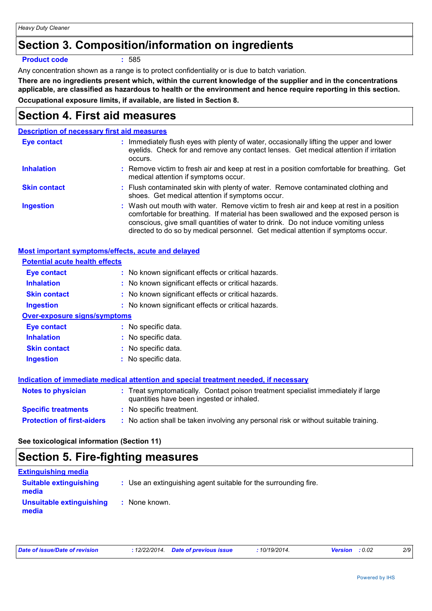# **Section 3. Composition/information on ingredients**

#### **Product code :** 585

Any concentration shown as a range is to protect confidentiality or is due to batch variation.

**There are no ingredients present which, within the current knowledge of the supplier and in the concentrations applicable, are classified as hazardous to health or the environment and hence require reporting in this section. Occupational exposure limits, if available, are listed in Section 8.**

### **Section 4. First aid measures**

#### **Description of necessary first aid measures**

| Eye contact         | : Immediately flush eyes with plenty of water, occasionally lifting the upper and lower<br>eyelids. Check for and remove any contact lenses. Get medical attention if irritation<br>occurs.                                                                                                                                                            |
|---------------------|--------------------------------------------------------------------------------------------------------------------------------------------------------------------------------------------------------------------------------------------------------------------------------------------------------------------------------------------------------|
| <b>Inhalation</b>   | : Remove victim to fresh air and keep at rest in a position comfortable for breathing. Get<br>medical attention if symptoms occur.                                                                                                                                                                                                                     |
| <b>Skin contact</b> | : Flush contaminated skin with plenty of water. Remove contaminated clothing and<br>shoes. Get medical attention if symptoms occur.                                                                                                                                                                                                                    |
| <b>Ingestion</b>    | : Wash out mouth with water. Remove victim to fresh air and keep at rest in a position<br>comfortable for breathing. If material has been swallowed and the exposed person is<br>conscious, give small quantities of water to drink. Do not induce vomiting unless<br>directed to do so by medical personnel. Get medical attention if symptoms occur. |

| Most important symptoms/effects, acute and delayed |                                                                                                                                |
|----------------------------------------------------|--------------------------------------------------------------------------------------------------------------------------------|
| <b>Potential acute health effects</b>              |                                                                                                                                |
| <b>Eye contact</b>                                 | : No known significant effects or critical hazards.                                                                            |
| <b>Inhalation</b>                                  | : No known significant effects or critical hazards.                                                                            |
| <b>Skin contact</b>                                | : No known significant effects or critical hazards.                                                                            |
| <b>Ingestion</b>                                   | : No known significant effects or critical hazards.                                                                            |
| <b>Over-exposure signs/symptoms</b>                |                                                                                                                                |
| Eye contact                                        | : No specific data.                                                                                                            |
| <b>Inhalation</b>                                  | : No specific data.                                                                                                            |
| <b>Skin contact</b>                                | : No specific data.                                                                                                            |
| <b>Ingestion</b>                                   | : No specific data.                                                                                                            |
|                                                    |                                                                                                                                |
|                                                    | <u>Indication of immediate medical attention and special treatment needed, if necessary</u>                                    |
| <b>Notes to physician</b>                          | : Treat symptomatically. Contact poison treatment specialist immediately if large<br>quantities have been ingested or inhaled. |
| <b>Specific treatments</b>                         | : No specific treatment.                                                                                                       |
| <b>Protection of first-aiders</b>                  | : No action shall be taken involving any personal risk or without suitable training.                                           |

### **See toxicological information (Section 11)**

### **Section 5. Fire-fighting measures**

| <b>Extinguishing media</b>             |                                                                 |
|----------------------------------------|-----------------------------------------------------------------|
| <b>Suitable extinguishing</b><br>media | : Use an extinguishing agent suitable for the surrounding fire. |
| Unsuitable extinguishing<br>media      | : None known.                                                   |

| Date of issue/Date of revision |  | : 12/22/2014. Date of previous issue | 10/19/2014. | <b>Version</b> : 0.02 |  |
|--------------------------------|--|--------------------------------------|-------------|-----------------------|--|
|--------------------------------|--|--------------------------------------|-------------|-----------------------|--|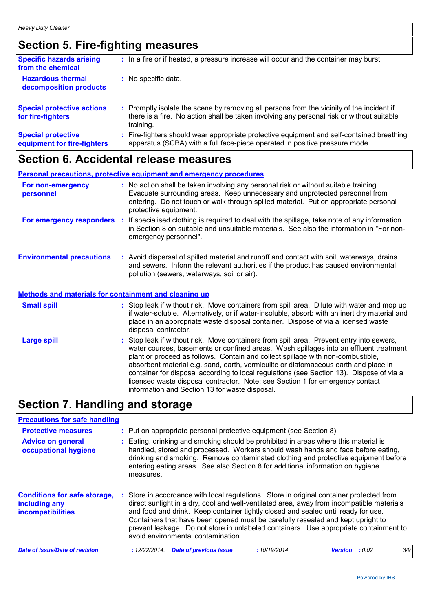# **Section 5. Fire-fighting measures**

| <b>Specific hazards arising</b><br>from the chemical     | : In a fire or if heated, a pressure increase will occur and the container may burst.                                                                                                               |
|----------------------------------------------------------|-----------------------------------------------------------------------------------------------------------------------------------------------------------------------------------------------------|
| <b>Hazardous thermal</b><br>decomposition products       | : No specific data.                                                                                                                                                                                 |
| <b>Special protective actions</b><br>for fire-fighters   | : Promptly isolate the scene by removing all persons from the vicinity of the incident if<br>there is a fire. No action shall be taken involving any personal risk or without suitable<br>training. |
| <b>Special protective</b><br>equipment for fire-fighters | Fire-fighters should wear appropriate protective equipment and self-contained breathing<br>apparatus (SCBA) with a full face-piece operated in positive pressure mode.                              |

# **Section 6. Accidental release measures**

| <b>Personal precautions, protective equipment and emergency procedures</b>                       |                       |                                                                                                                                                                                                                                                                                                                                                                                                                                                                                                                                          |
|--------------------------------------------------------------------------------------------------|-----------------------|------------------------------------------------------------------------------------------------------------------------------------------------------------------------------------------------------------------------------------------------------------------------------------------------------------------------------------------------------------------------------------------------------------------------------------------------------------------------------------------------------------------------------------------|
| For non-emergency<br>personnel                                                                   | protective equipment. | : No action shall be taken involving any personal risk or without suitable training.<br>Evacuate surrounding areas. Keep unnecessary and unprotected personnel from<br>entering. Do not touch or walk through spilled material. Put on appropriate personal                                                                                                                                                                                                                                                                              |
| For emergency responders                                                                         | emergency personnel". | : If specialised clothing is required to deal with the spillage, take note of any information<br>in Section 8 on suitable and unsuitable materials. See also the information in "For non-                                                                                                                                                                                                                                                                                                                                                |
| <b>Environmental precautions</b><br><b>Methods and materials for containment and cleaning up</b> |                       | : Avoid dispersal of spilled material and runoff and contact with soil, waterways, drains<br>and sewers. Inform the relevant authorities if the product has caused environmental<br>pollution (sewers, waterways, soil or air).                                                                                                                                                                                                                                                                                                          |
|                                                                                                  |                       |                                                                                                                                                                                                                                                                                                                                                                                                                                                                                                                                          |
| <b>Small spill</b>                                                                               | disposal contractor.  | : Stop leak if without risk. Move containers from spill area. Dilute with water and mop up<br>if water-soluble. Alternatively, or if water-insoluble, absorb with an inert dry material and<br>place in an appropriate waste disposal container. Dispose of via a licensed waste                                                                                                                                                                                                                                                         |
| <b>Large spill</b>                                                                               |                       | : Stop leak if without risk. Move containers from spill area. Prevent entry into sewers,<br>water courses, basements or confined areas. Wash spillages into an effluent treatment<br>plant or proceed as follows. Contain and collect spillage with non-combustible,<br>absorbent material e.g. sand, earth, vermiculite or diatomaceous earth and place in<br>container for disposal according to local regulations (see Section 13). Dispose of via a<br>licensed waste disposal contractor. Note: see Section 1 for emergency contact |

# **Section 7. Handling and storage**

| <b>Precautions for safe handling</b>                                      |                                                                                                                                                                                                                                                                                                                                                                                                                                                                                              |                |        |     |  |
|---------------------------------------------------------------------------|----------------------------------------------------------------------------------------------------------------------------------------------------------------------------------------------------------------------------------------------------------------------------------------------------------------------------------------------------------------------------------------------------------------------------------------------------------------------------------------------|----------------|--------|-----|--|
| <b>Protective measures</b>                                                | : Put on appropriate personal protective equipment (see Section 8).                                                                                                                                                                                                                                                                                                                                                                                                                          |                |        |     |  |
| <b>Advice on general</b><br>occupational hygiene                          | Eating, drinking and smoking should be prohibited in areas where this material is<br>handled, stored and processed. Workers should wash hands and face before eating,<br>drinking and smoking. Remove contaminated clothing and protective equipment before<br>entering eating areas. See also Section 8 for additional information on hygiene<br>measures.                                                                                                                                  |                |        |     |  |
| <b>Conditions for safe storage,</b><br>including any<br>incompatibilities | : Store in accordance with local regulations. Store in original container protected from<br>direct sunlight in a dry, cool and well-ventilated area, away from incompatible materials<br>and food and drink. Keep container tightly closed and sealed until ready for use.<br>Containers that have been opened must be carefully resealed and kept upright to<br>prevent leakage. Do not store in unlabeled containers. Use appropriate containment to<br>avoid environmental contamination. |                |        |     |  |
| Date of issue/Date of revision                                            | <b>Date of previous issue</b><br>: 12/22/2014.<br>:10/19/2014.                                                                                                                                                                                                                                                                                                                                                                                                                               | <b>Version</b> | : 0.02 | 3/9 |  |

information and Section 13 for waste disposal.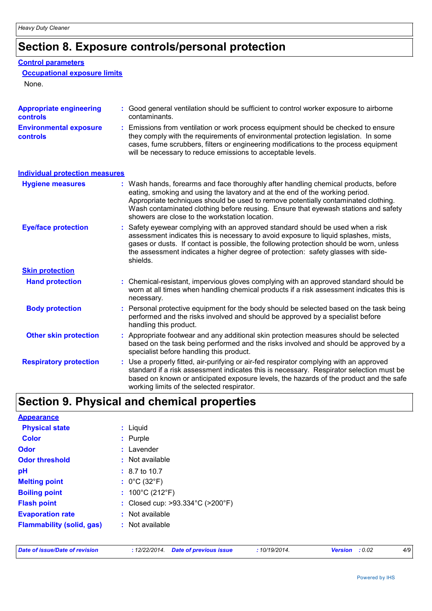# **Section 8. Exposure controls/personal protection**

#### **Control parameters**

#### **Occupational exposure limits**

None.

| <b>Appropriate engineering</b><br>controls | : Good general ventilation should be sufficient to control worker exposure to airborne<br>contaminants.                                                                                                                                                                                                                                                                                           |  |  |
|--------------------------------------------|---------------------------------------------------------------------------------------------------------------------------------------------------------------------------------------------------------------------------------------------------------------------------------------------------------------------------------------------------------------------------------------------------|--|--|
| <b>Environmental exposure</b><br>controls  | Emissions from ventilation or work process equipment should be checked to ensure<br>they comply with the requirements of environmental protection legislation. In some<br>cases, fume scrubbers, filters or engineering modifications to the process equipment<br>will be necessary to reduce emissions to acceptable levels.                                                                     |  |  |
| <b>Individual protection measures</b>      |                                                                                                                                                                                                                                                                                                                                                                                                   |  |  |
| <b>Hygiene measures</b>                    | : Wash hands, forearms and face thoroughly after handling chemical products, before<br>eating, smoking and using the lavatory and at the end of the working period.<br>Appropriate techniques should be used to remove potentially contaminated clothing.<br>Wash contaminated clothing before reusing. Ensure that eyewash stations and safety<br>showers are close to the workstation location. |  |  |
| <b>Eye/face protection</b>                 | Safety eyewear complying with an approved standard should be used when a risk<br>assessment indicates this is necessary to avoid exposure to liquid splashes, mists,<br>gases or dusts. If contact is possible, the following protection should be worn, unless<br>the assessment indicates a higher degree of protection: safety glasses with side-<br>shields.                                  |  |  |
| <b>Skin protection</b>                     |                                                                                                                                                                                                                                                                                                                                                                                                   |  |  |
| <b>Hand protection</b>                     | : Chemical-resistant, impervious gloves complying with an approved standard should be<br>worn at all times when handling chemical products if a risk assessment indicates this is<br>necessary.                                                                                                                                                                                                   |  |  |
| <b>Body protection</b>                     | Personal protective equipment for the body should be selected based on the task being<br>performed and the risks involved and should be approved by a specialist before<br>handling this product.                                                                                                                                                                                                 |  |  |
| <b>Other skin protection</b>               | : Appropriate footwear and any additional skin protection measures should be selected<br>based on the task being performed and the risks involved and should be approved by a<br>specialist before handling this product.                                                                                                                                                                         |  |  |
| <b>Respiratory protection</b>              | Use a properly fitted, air-purifying or air-fed respirator complying with an approved<br>standard if a risk assessment indicates this is necessary. Respirator selection must be<br>based on known or anticipated exposure levels, the hazards of the product and the safe<br>working limits of the selected respirator.                                                                          |  |  |

# **Section 9. Physical and chemical properties**

| <b>Appearance</b>                |                                      |
|----------------------------------|--------------------------------------|
| <b>Physical state</b>            | $:$ Liquid                           |
| <b>Color</b>                     | : Purple                             |
| <b>Odor</b>                      | : Lavender                           |
| <b>Odor threshold</b>            | $:$ Not available                    |
| pH                               | $: 8.7 \text{ to } 10.7$             |
| <b>Melting point</b>             | : $0^{\circ}$ C (32 $^{\circ}$ F)    |
| <b>Boiling point</b>             | : $100^{\circ}$ C (212 $^{\circ}$ F) |
| <b>Flash point</b>               | : Closed cup: >93.334°C (>200°F)     |
| <b>Evaporation rate</b>          | : Not available                      |
| <b>Flammability (solid, gas)</b> | $:$ Not available                    |
|                                  |                                      |

|  |  |  | Date of issue/Date of revision |
|--|--|--|--------------------------------|
|--|--|--|--------------------------------|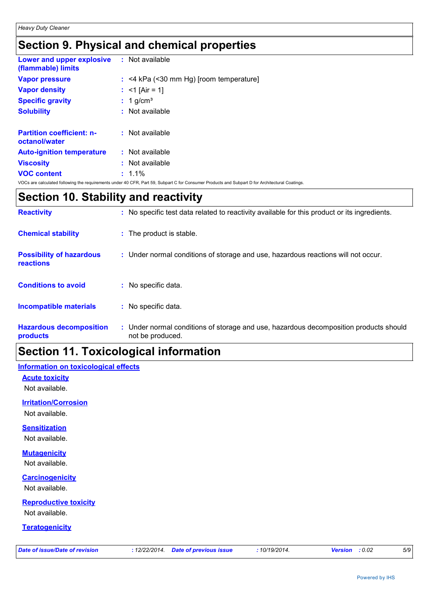# **Section 9. Physical and chemical properties**

| <b>Lower and upper explosive : Not available</b><br>(flammable) limits |                                                                                                                                                |
|------------------------------------------------------------------------|------------------------------------------------------------------------------------------------------------------------------------------------|
| <b>Vapor pressure</b>                                                  | $:$ <4 kPa (<30 mm Hg) [room temperature]                                                                                                      |
| <b>Vapor density</b>                                                   | : $<$ 1 [Air = 1]                                                                                                                              |
| <b>Specific gravity</b>                                                | $: 1$ g/cm <sup>3</sup>                                                                                                                        |
| <b>Solubility</b>                                                      | $:$ Not available                                                                                                                              |
| <b>Partition coefficient: n-</b><br>octanol/water                      | : Not available                                                                                                                                |
| <b>Auto-ignition temperature</b>                                       | $:$ Not available                                                                                                                              |
| <b>Viscosity</b>                                                       | $:$ Not available                                                                                                                              |
| <b>VOC content</b>                                                     | $: 1.1\%$                                                                                                                                      |
|                                                                        | VOCs are calculated following the requirements under 40 CFR, Part 59, Subpart C for Consumer Products and Subpart D for Architectural Coatings |

### **Section 10. Stability and reactivity**

| <b>Reactivity</b>                            | : No specific test data related to reactivity available for this product or its ingredients.              |
|----------------------------------------------|-----------------------------------------------------------------------------------------------------------|
| <b>Chemical stability</b>                    | : The product is stable.                                                                                  |
| <b>Possibility of hazardous</b><br>reactions | : Under normal conditions of storage and use, hazardous reactions will not occur.                         |
| <b>Conditions to avoid</b>                   | : No specific data.                                                                                       |
| <b>Incompatible materials</b>                | : No specific data.                                                                                       |
| <b>Hazardous decomposition</b><br>products   | : Under normal conditions of storage and use, hazardous decomposition products should<br>not be produced. |

### **Section 11. Toxicological information**

### **Information on toxicological effects**

**Acute toxicity** Not available.

**Irritation/Corrosion**

Not available.

### **Sensitization**

Not available.

### **Mutagenicity**

Not available.

### **Carcinogenicity**

Not available.

### **Reproductive toxicity**

Not available.

#### **Teratogenicity**

| Date of issue/Date of revision |
|--------------------------------|
|--------------------------------|

*Date of issue/Date of revision* **:** *12/22/2014. Date of previous issue : 10/19/2014. Version : 0.02 5/9*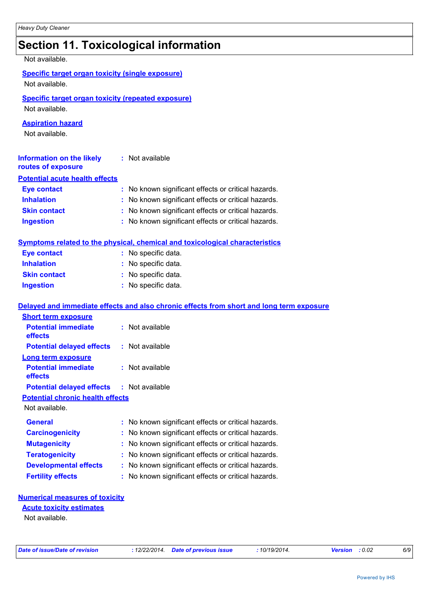### **Section 11. Toxicological information**

| Not available.                                                              |                                                                                          |
|-----------------------------------------------------------------------------|------------------------------------------------------------------------------------------|
| <b>Specific target organ toxicity (single exposure)</b><br>Not available.   |                                                                                          |
| <b>Specific target organ toxicity (repeated exposure)</b><br>Not available. |                                                                                          |
| <b>Aspiration hazard</b><br>Not available.                                  |                                                                                          |
| Information on the likely<br>routes of exposure                             | : Not available                                                                          |
| <b>Potential acute health effects</b>                                       |                                                                                          |
| <b>Eye contact</b>                                                          | : No known significant effects or critical hazards.                                      |
| <b>Inhalation</b>                                                           | : No known significant effects or critical hazards.                                      |
| <b>Skin contact</b>                                                         | : No known significant effects or critical hazards.                                      |
| <b>Ingestion</b>                                                            | : No known significant effects or critical hazards.                                      |
|                                                                             | <b>Symptoms related to the physical, chemical and toxicological characteristics</b>      |
| <b>Eye contact</b>                                                          | : No specific data.                                                                      |
| <b>Inhalation</b>                                                           | : No specific data.                                                                      |
| <b>Skin contact</b>                                                         | : No specific data.                                                                      |
| <b>Ingestion</b>                                                            | : No specific data.                                                                      |
|                                                                             | Delayed and immediate effects and also chronic effects from short and long term exposure |
| <b>Short term exposure</b>                                                  |                                                                                          |
| <b>Potential immediate</b><br>effects                                       | : Not available                                                                          |
| <b>Potential delayed effects</b>                                            | : Not available                                                                          |
| <b>Long term exposure</b>                                                   |                                                                                          |
| <b>Potential immediate</b><br>effects                                       | : Not available                                                                          |
| <b>Potential delayed effects</b>                                            | : Not available                                                                          |
| <b>Potential chronic health effects</b>                                     |                                                                                          |
| Not available.                                                              |                                                                                          |
| <b>General</b>                                                              | : No known significant effects or critical hazards.                                      |
| <b>Carcinogenicity</b>                                                      | : No known significant effects or critical hazards.                                      |
| <b>Mutagenicity</b>                                                         | : No known significant effects or critical hazards.                                      |

**Teratogenicity :** No known significant effects or critical hazards.

**Developmental effects :** No known significant effects or critical hazards.

**Fertility effects :** No known significant effects or critical hazards.

#### **Numerical measures of toxicity**

Not available. **Acute toxicity estimates**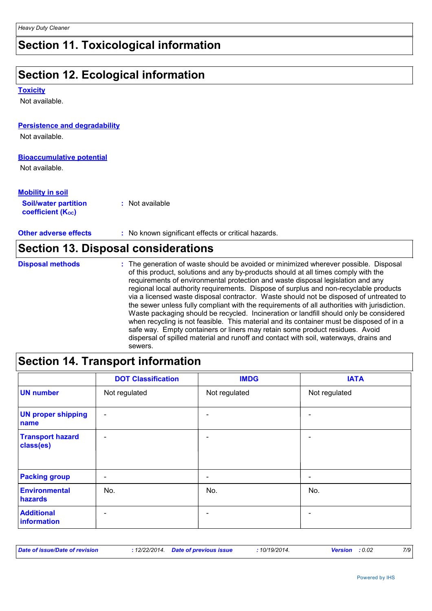### **Section 11. Toxicological information**

### **Section 12. Ecological information**

#### **Toxicity**

Not available.

#### **Persistence and degradability**

Not available.

### **Bioaccumulative potential**

Not available.

| <b>Mobility in soil</b>                                       |                 |
|---------------------------------------------------------------|-----------------|
| <b>Soil/water partition</b><br>coefficient (K <sub>oc</sub> ) | : Not available |

**Other adverse effects** : No known significant effects or critical hazards.

#### **Section 13. Disposal considerations** The generation of waste should be avoided or minimized wherever possible. Disposal of this product, solutions and any by-products should at all times comply with the requirements of environmental protection and waste disposal legislation and any regional local authority requirements. Dispose of surplus and non-recyclable products via a licensed waste disposal contractor. Waste should not be disposed of untreated to the sewer unless fully compliant with the requirements of all authorities with jurisdiction. **Disposal methods :**

Waste packaging should be recycled. Incineration or landfill should only be considered when recycling is not feasible. This material and its container must be disposed of in a safe way. Empty containers or liners may retain some product residues. Avoid dispersal of spilled material and runoff and contact with soil, waterways, drains and sewers.

### **Section 14. Transport information**

|                                      | <b>DOT Classification</b> | <b>IMDG</b>              | <b>IATA</b>              |
|--------------------------------------|---------------------------|--------------------------|--------------------------|
| <b>UN number</b>                     | Not regulated             | Not regulated            | Not regulated            |
| <b>UN proper shipping</b><br>name    | $\overline{\phantom{0}}$  |                          |                          |
| <b>Transport hazard</b><br>class(es) | $\overline{\phantom{0}}$  |                          | ۳                        |
| <b>Packing group</b>                 | $\overline{\phantom{0}}$  | $\overline{\phantom{0}}$ | $\overline{\phantom{0}}$ |
| Environmental<br>hazards             | No.                       | No.                      | No.                      |
| <b>Additional</b><br>information     | $\overline{\phantom{0}}$  |                          |                          |

| Date of issue/Date of revision | : 12/22/2014. Date of previous issue |  | 10/19/2014. | <b>Version</b> : 0.02 |  | 7/9 |
|--------------------------------|--------------------------------------|--|-------------|-----------------------|--|-----|
|--------------------------------|--------------------------------------|--|-------------|-----------------------|--|-----|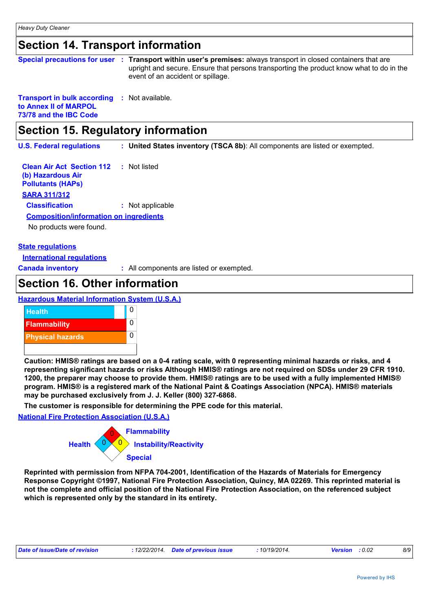### **Section 14. Transport information**

|                                                     | Special precautions for user : Transport within user's premises: always transport in closed containers that are<br>upright and secure. Ensure that persons transporting the product know what to do in the<br>event of an accident or spillage. |
|-----------------------------------------------------|-------------------------------------------------------------------------------------------------------------------------------------------------------------------------------------------------------------------------------------------------|
| <b>Transport in bulk according : Not available.</b> |                                                                                                                                                                                                                                                 |

**to Annex II of MARPOL 73/78 and the IBC Code**

# **Section 15. Regulatory information**

**U.S. Federal regulations : United States inventory (TSCA 8b)**: All components are listed or exempted.

**Clean Air Act Section 112 (b) Hazardous Air Pollutants (HAPs) :** Not listed **SARA 311/312 Classification :** Not applicable No products were found. **Composition/information on ingredients**

#### **State regulations**

**International regulations**

**Canada inventory :** All components are listed or exempted.

### **Section 16. Other information**

#### **Hazardous Material Information System (U.S.A.)**



**Caution: HMIS® ratings are based on a 0-4 rating scale, with 0 representing minimal hazards or risks, and 4 representing significant hazards or risks Although HMIS® ratings are not required on SDSs under 29 CFR 1910. 1200, the preparer may choose to provide them. HMIS® ratings are to be used with a fully implemented HMIS® program. HMIS® is a registered mark of the National Paint & Coatings Association (NPCA). HMIS® materials may be purchased exclusively from J. J. Keller (800) 327-6868.**

**The customer is responsible for determining the PPE code for this material.**

**National Fire Protection Association (U.S.A.)**



**Reprinted with permission from NFPA 704-2001, Identification of the Hazards of Materials for Emergency Response Copyright ©1997, National Fire Protection Association, Quincy, MA 02269. This reprinted material is not the complete and official position of the National Fire Protection Association, on the referenced subject which is represented only by the standard in its entirety.**

| Date of issue/Date of revision | : 12/22/2014 Date of previous issue | 10/19/2014. | <b>Version</b> : 0.02 |  |
|--------------------------------|-------------------------------------|-------------|-----------------------|--|
|                                |                                     |             |                       |  |